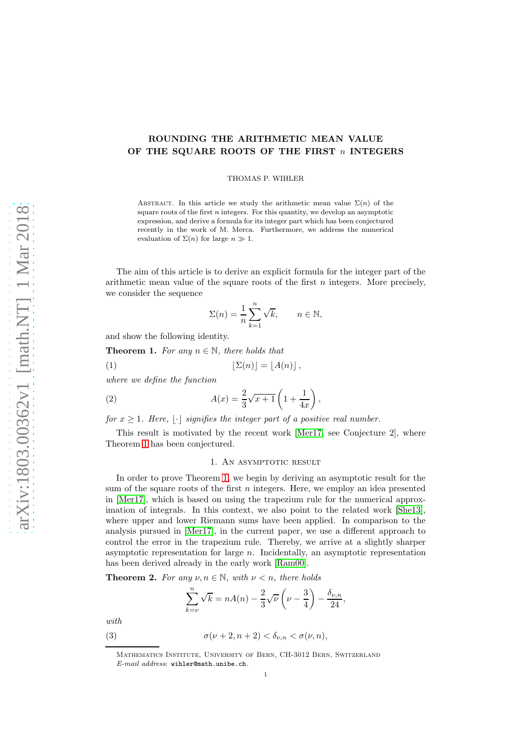# ROUNDING THE ARITHMETIC MEAN VALUE OF THE SQUARE ROOTS OF THE FIRST  $n$  INTEGERS

THOMAS P. WIHLER

ABSTRACT. In this article we study the arithmetic mean value  $\Sigma(n)$  of the square roots of the first  $n$  integers. For this quantity, we develop an asymptotic expression, and derive a formula for its integer part which has been conjectured recently in the work of M. Merca. Furthermore, we address the numerical evaluation of  $\Sigma(n)$  for large  $n \gg 1$ .

The aim of this article is to derive an explicit formula for the integer part of the arithmetic mean value of the square roots of the first  $n$  integers. More precisely, we consider the sequence

<span id="page-0-3"></span>
$$
\Sigma(n) = \frac{1}{n} \sum_{k=1}^{n} \sqrt{k}, \qquad n \in \mathbb{N},
$$

and show the following identity.

<span id="page-0-0"></span>**Theorem 1.** For any  $n \in \mathbb{N}$ , there holds that

(1) 
$$
\lfloor \Sigma(n) \rfloor = \lfloor A(n) \rfloor,
$$

where we define the function

(2) 
$$
A(x) = \frac{2}{3}\sqrt{x+1}\left(1 + \frac{1}{4x}\right),
$$

for  $x \geq 1$ . Here,  $|\cdot|$  signifies the integer part of a positive real number.

This result is motivated by the recent work [\[Mer17,](#page-4-0) see Conjecture 2], where Theorem [1](#page-0-0) has been conjectured.

#### <span id="page-0-2"></span>1. AN ASYMPTOTIC RESULT

In order to prove Theorem [1,](#page-0-0) we begin by deriving an asymptotic result for the sum of the square roots of the first  $n$  integers. Here, we employ an idea presented in [\[Mer17\]](#page-4-0), which is based on using the trapezium rule for the numerical approximation of integrals. In this context, we also point to the related work [\[She13\]](#page-4-1), where upper and lower Riemann sums have been applied. In comparison to the analysis pursued in [\[Mer17\]](#page-4-0), in the current paper, we use a different approach to control the error in the trapezium rule. Thereby, we arrive at a slightly sharper asymptotic representation for large n. Incidentally, an asymptotic representation has been derived already in the early work [\[Ram00\]](#page-4-2).

<span id="page-0-1"></span>**Theorem 2.** For any  $\nu, n \in \mathbb{N}$ , with  $\nu < n$ , there holds

<span id="page-0-4"></span>
$$
\sum_{k=\nu}^{n} \sqrt{k} = nA(n) - \frac{2}{3} \sqrt{\nu} \left(\nu - \frac{3}{4}\right) - \frac{\delta_{\nu, n}}{24},
$$

with.

(3) 
$$
\sigma(\nu+2, n+2) < \delta_{\nu,n} < \sigma(\nu, n),
$$

Mathematics Institute, University of Bern, CH-3012 Bern, Switzerland E-mail address: wihler@math.unibe.ch.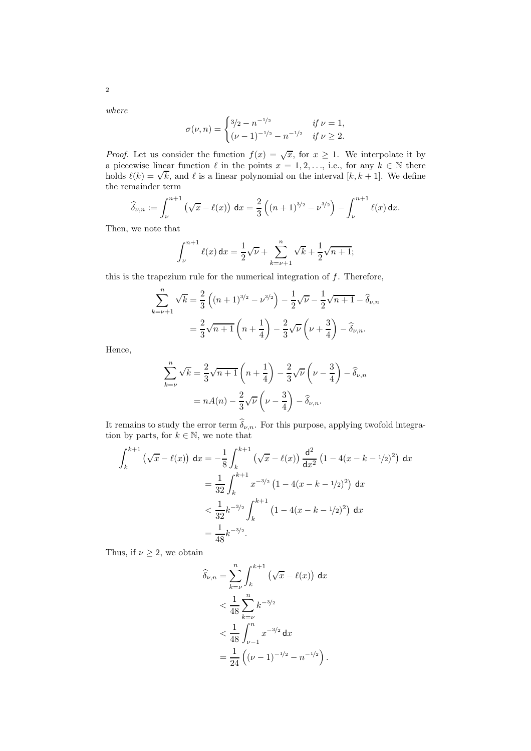where

$$
\sigma(\nu, n) = \begin{cases} 3/2 - n^{-1/2} & \text{if } \nu = 1, \\ (\nu - 1)^{-1/2} - n^{-1/2} & \text{if } \nu \ge 2. \end{cases}
$$

*Proof.* Let us consider the function  $f(x) = \sqrt{x}$ , for  $x \ge 1$ . We interpolate it by a piecewise linear function  $\ell$  in the points  $x = 1, 2, \ldots$ , i.e., for any  $k \in \mathbb{N}$  there holds  $\ell(k) = \sqrt{k}$ , and  $\ell$  is a linear polynomial on the interval  $[k, k + 1]$ . We define the remainder term

$$
\widehat{\delta}_{\nu,n} := \int_{\nu}^{n+1} \left( \sqrt{x} - \ell(x) \right) dx = \frac{2}{3} \left( (n+1)^{3/2} - \nu^{3/2} \right) - \int_{\nu}^{n+1} \ell(x) dx.
$$

Then, we note that

$$
\int_{\nu}^{n+1} \ell(x) dx = \frac{1}{2} \sqrt{\nu} + \sum_{k=\nu+1}^{n} \sqrt{k} + \frac{1}{2} \sqrt{n+1};
$$

this is the trapezium rule for the numerical integration of  $f$ . Therefore,

$$
\sum_{k=\nu+1}^{n} \sqrt{k} = \frac{2}{3} \left( (n+1)^{3/2} - \nu^{3/2} \right) - \frac{1}{2} \sqrt{\nu} - \frac{1}{2} \sqrt{n+1} - \widehat{\delta}_{\nu,n}
$$

$$
= \frac{2}{3} \sqrt{n+1} \left( n + \frac{1}{4} \right) - \frac{2}{3} \sqrt{\nu} \left( \nu + \frac{3}{4} \right) - \widehat{\delta}_{\nu,n}.
$$

Hence,

$$
\sum_{k=\nu}^{n} \sqrt{k} = \frac{2}{3} \sqrt{n+1} \left( n + \frac{1}{4} \right) - \frac{2}{3} \sqrt{\nu} \left( \nu - \frac{3}{4} \right) - \widehat{\delta}_{\nu,n}
$$

$$
= nA(n) - \frac{2}{3} \sqrt{\nu} \left( \nu - \frac{3}{4} \right) - \widehat{\delta}_{\nu,n}.
$$

It remains to study the error term  $\widehat{\delta}_{\nu,n}$ . For this purpose, applying twofold integration by parts, for  $k \in \mathbb{N}$ , we note that

$$
\int_{k}^{k+1} \left(\sqrt{x} - \ell(x)\right) dx = -\frac{1}{8} \int_{k}^{k+1} \left(\sqrt{x} - \ell(x)\right) \frac{d^{2}}{dx^{2}} \left(1 - 4(x - k - 1/2)^{2}\right) dx
$$
  

$$
= \frac{1}{32} \int_{k}^{k+1} x^{-3/2} \left(1 - 4(x - k - 1/2)^{2}\right) dx
$$
  

$$
< \frac{1}{32} k^{-3/2} \int_{k}^{k+1} \left(1 - 4(x - k - 1/2)^{2}\right) dx
$$
  

$$
= \frac{1}{48} k^{-3/2}.
$$

Thus, if  $\nu \geq 2$ , we obtain

$$
\widehat{\delta}_{\nu,n} = \sum_{k=\nu}^{n} \int_{k}^{k+1} (\sqrt{x} - \ell(x)) dx
$$
  

$$
< \frac{1}{48} \sum_{k=\nu}^{n} k^{-3/2}
$$
  

$$
< \frac{1}{48} \int_{\nu-1}^{n} x^{-3/2} dx
$$
  

$$
= \frac{1}{24} ((\nu - 1)^{-1/2} - n^{-1/2}).
$$

2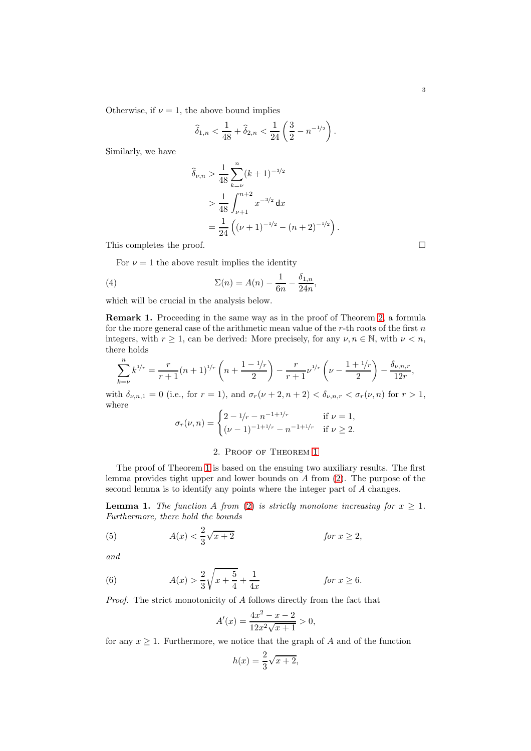Otherwise, if  $\nu = 1$ , the above bound implies

$$
\widehat{\delta}_{1,n} < \frac{1}{48} + \widehat{\delta}_{2,n} < \frac{1}{24} \left( \frac{3}{2} - n^{-1/2} \right).
$$

Similarly, we have

$$
\hat{\delta}_{\nu,n} > \frac{1}{48} \sum_{k=\nu}^{n} (k+1)^{-3/2}
$$
  
> 
$$
\frac{1}{48} \int_{\nu+1}^{n+2} x^{-3/2} dx
$$
  
= 
$$
\frac{1}{24} ((\nu+1)^{-1/2} - (n+2)^{-1/2}).
$$

This completes the proof.

<span id="page-2-3"></span>For  $\nu = 1$  the above result implies the identity

(4) 
$$
\Sigma(n) = A(n) - \frac{1}{6n} - \frac{\delta_{1,n}}{24n},
$$

which will be crucial in the analysis below.

Remark 1. Proceeding in the same way as in the proof of Theorem [2,](#page-0-1) a formula for the more general case of the arithmetic mean value of the  $r$ -th roots of the first  $n$ integers, with  $r \geq 1$ , can be derived: More precisely, for any  $\nu, n \in \mathbb{N}$ , with  $\nu < n$ , there holds

$$
\sum_{k=\nu}^{n} k^{1/r} = \frac{r}{r+1} (n+1)^{1/r} \left( n + \frac{1-1/r}{2} \right) - \frac{r}{r+1} \nu^{1/r} \left( \nu - \frac{1+1/r}{2} \right) - \frac{\delta_{\nu,n,r}}{12r},
$$

with  $\delta_{\nu,n,1} = 0$  (i.e., for  $r = 1$ ), and  $\sigma_r(\nu+2,n+2) < \delta_{\nu,n,r} < \sigma_r(\nu,n)$  for  $r > 1$ , where

$$
\sigma_r(\nu, n) = \begin{cases} 2 - 1/r - n^{-1 + 1/r} & \text{if } \nu = 1, \\ (\nu - 1)^{-1 + 1/r} - n^{-1 + 1/r} & \text{if } \nu \ge 2. \end{cases}
$$

# 2. Proof of Theorem [1](#page-0-0)

The proof of Theorem [1](#page-0-0) is based on the ensuing two auxiliary results. The first lemma provides tight upper and lower bounds on A from [\(2\)](#page-0-2). The purpose of the second lemma is to identify any points where the integer part of A changes.

<span id="page-2-2"></span>**Lemma 1.** The function A from [\(2\)](#page-0-2) is strictly monotone increasing for  $x \geq 1$ . Furthermore, there hold the bounds

<span id="page-2-0"></span>(5) 
$$
A(x) < \frac{2}{3}\sqrt{x+2} \qquad \text{for } x \ge 2,
$$

and

<span id="page-2-1"></span>(6) 
$$
A(x) > \frac{2}{3}\sqrt{x + \frac{5}{4}} + \frac{1}{4x} \qquad \text{for } x \ge 6.
$$

Proof. The strict monotonicity of A follows directly from the fact that

$$
A'(x) = \frac{4x^2 - x - 2}{12x^2\sqrt{x+1}} > 0,
$$

for any  $x \geq 1$ . Furthermore, we notice that the graph of A and of the function

$$
h(x) = \frac{2}{3}\sqrt{x+2},
$$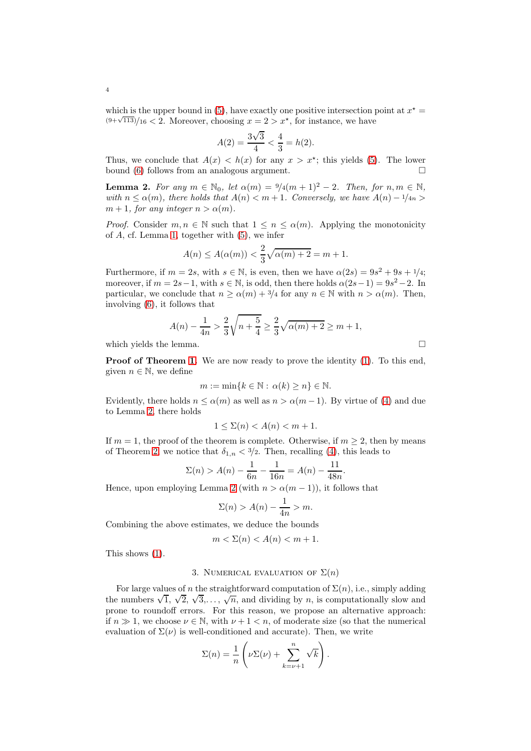which is the upper bound in [\(5\)](#page-2-0), have exactly one positive intersection point at  $x^* =$  $(9+\sqrt{113})/16 < 2$ . Moreover, choosing  $x = 2 > x^*$ , for instance, we have

$$
A(2) = \frac{3\sqrt{3}}{4} < \frac{4}{3} = h(2).
$$

Thus, we conclude that  $A(x) < h(x)$  for any  $x > x^*$ ; this yields [\(5\)](#page-2-0). The lower bound [\(6\)](#page-2-1) follows from an analogous argument.  $\Box$ 

<span id="page-3-0"></span>**Lemma 2.** For any  $m \in \mathbb{N}_0$ , let  $\alpha(m) = \frac{9}{4}(m+1)^2 - 2$ . Then, for  $n, m \in \mathbb{N}$ , with  $n \leq \alpha(m)$ , there holds that  $A(n) < m+1$ . Conversely, we have  $A(n) - 1/4n$  $m + 1$ , for any integer  $n > \alpha(m)$ .

*Proof.* Consider  $m, n \in \mathbb{N}$  such that  $1 \leq n \leq \alpha(m)$ . Applying the monotonicity of A, cf. Lemma [1,](#page-2-2) together with [\(5\)](#page-2-0), we infer

$$
A(n) \le A(\alpha(m)) < \frac{2}{3}\sqrt{\alpha(m) + 2} = m + 1.
$$

Furthermore, if  $m = 2s$ , with  $s \in \mathbb{N}$ , is even, then we have  $\alpha(2s) = 9s^2 + 9s + 1/4$ ; moreover, if  $m = 2s - 1$ , with  $s \in \mathbb{N}$ , is odd, then there holds  $\alpha(2s-1) = 9s^2 - 2$ . In particular, we conclude that  $n \ge \alpha(m) + \frac{3}{4}$  for any  $n \in \mathbb{N}$  with  $n > \alpha(m)$ . Then, involving [\(6\)](#page-2-1), it follows that

$$
A(n) - \frac{1}{4n} > \frac{2}{3} \sqrt{n + \frac{5}{4}} \ge \frac{2}{3} \sqrt{\alpha(m) + 2} \ge m + 1,
$$

which yields the lemma.  $\hfill \square$ 

**Proof of Theorem [1.](#page-0-0)** We are now ready to prove the identity [\(1\)](#page-0-3). To this end, given  $n \in \mathbb{N}$ , we define

$$
m := \min\{k \in \mathbb{N} : \alpha(k) \ge n\} \in \mathbb{N}.
$$

Evidently, there holds  $n \leq \alpha(m)$  as well as  $n > \alpha(m-1)$ . By virtue of [\(4\)](#page-2-3) and due to Lemma [2,](#page-3-0) there holds

$$
1 \le \Sigma(n) < A(n) < m+1.
$$

If  $m = 1$ , the proof of the theorem is complete. Otherwise, if  $m \geq 2$ , then by means of Theorem [2,](#page-0-1) we notice that  $\delta_{1,n} < 3/2$ . Then, recalling [\(4\)](#page-2-3), this leads to

$$
\Sigma(n) > A(n) - \frac{1}{6n} - \frac{1}{16n} = A(n) - \frac{11}{48n}.
$$

Hence, upon employing Lemma [2](#page-3-0) (with  $n > \alpha(m-1)$ ), it follows that

$$
\Sigma(n) > A(n) - \frac{1}{4n} > m.
$$

Combining the above estimates, we deduce the bounds

$$
m < \Sigma(n) < A(n) < m + 1.
$$

This shows [\(1\)](#page-0-3).

## 3. NUMERICAL EVALUATION OF  $\Sigma(n)$

For large values of n the straightforward computation of  $\Sigma(n)$ , i.e., simply adding the numbers  $\sqrt{1}$ ,  $\sqrt{2}$ ,  $\sqrt{3}$ ,...,  $\sqrt{n}$ , and dividing by *n*, is computationally slow and prone to roundoff errors. For this reason, we propose an alternative approach: if  $n \gg 1$ , we choose  $\nu \in \mathbb{N}$ , with  $\nu + 1 < n$ , of moderate size (so that the numerical evaluation of  $\Sigma(\nu)$  is well-conditioned and accurate). Then, we write

$$
\Sigma(n) = \frac{1}{n} \left( \nu \Sigma(\nu) + \sum_{k=\nu+1}^{n} \sqrt{k} \right).
$$